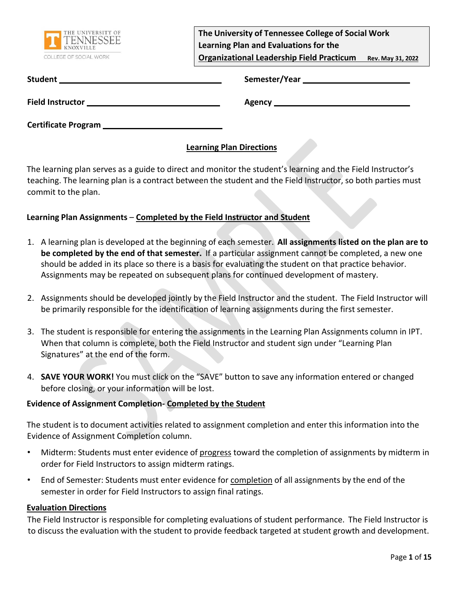

**The University of Tennessee College of Social Work Learning Plan and Evaluations for the Organizational Leadership Field Practicum Rev. May 31, 2022**

| <b>Student</b> | Semester/Year |
|----------------|---------------|
|                |               |

Field Instructor **Matube 2018** Agency **Agency** 

**Certificate Program** 

### **Learning Plan Directions**

The learning plan serves as a guide to direct and monitor the student's learning and the Field Instructor's teaching. The learning plan is a contract between the student and the Field Instructor, so both parties must commit to the plan.

### **Learning Plan Assignments** – **Completed by the Field Instructor and Student**

- 1. A learning plan is developed at the beginning of each semester. **All assignments listed on the plan are to be completed by the end of that semester.** If a particular assignment cannot be completed, a new one should be added in its place so there is a basis for evaluating the student on that practice behavior. Assignments may be repeated on subsequent plans for continued development of mastery.
- 2. Assignments should be developed jointly by the Field Instructor and the student. The Field Instructor will be primarily responsible for the identification of learning assignments during the first semester.
- 3. The student is responsible for entering the assignments in the Learning Plan Assignments column in IPT. When that column is complete, both the Field Instructor and student sign under "Learning Plan Signatures" at the end of the form.
- 4. **SAVE YOUR WORK!** You must click on the "SAVE" button to save any information entered or changed before closing, or your information will be lost.

### **Evidence of Assignment Completion- Completed by the Student**

The student is to document activities related to assignment completion and enter this information into the Evidence of Assignment Completion column.

- Midterm: Students must enter evidence of progress toward the completion of assignments by midterm in order for Field Instructors to assign midterm ratings.
- End of Semester: Students must enter evidence for completion of all assignments by the end of the semester in order for Field Instructors to assign final ratings.

### **Evaluation Directions**

The Field Instructor is responsible for completing evaluations of student performance. The Field Instructor is to discuss the evaluation with the student to provide feedback targeted at student growth and development.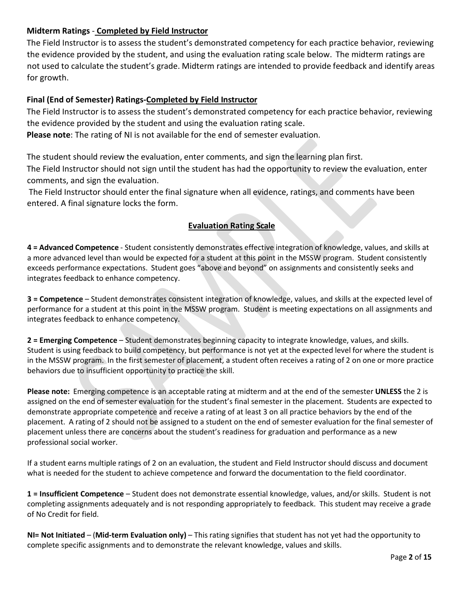### **Midterm Ratings** - **Completed by Field Instructor**

The Field Instructor is to assess the student's demonstrated competency for each practice behavior, reviewing the evidence provided by the student, and using the evaluation rating scale below. The midterm ratings are not used to calculate the student's grade. Midterm ratings are intended to provide feedback and identify areas for growth.

### **Final (End of Semester) Ratings-Completed by Field Instructor**

The Field Instructor is to assess the student's demonstrated competency for each practice behavior, reviewing the evidence provided by the student and using the evaluation rating scale.

**Please note**: The rating of NI is not available for the end of semester evaluation.

The student should review the evaluation, enter comments, and sign the learning plan first. The Field Instructor should not sign until the student has had the opportunity to review the evaluation, enter comments, and sign the evaluation.

The Field Instructor should enter the final signature when all evidence, ratings, and comments have been entered. A final signature locks the form.

### **Evaluation Rating Scale**

**4 = Advanced Competence** - Student consistently demonstrates effective integration of knowledge, values, and skills at a more advanced level than would be expected for a student at this point in the MSSW program. Student consistently exceeds performance expectations. Student goes "above and beyond" on assignments and consistently seeks and integrates feedback to enhance competency.

**3 = Competence** – Student demonstrates consistent integration of knowledge, values, and skills at the expected level of performance for a student at this point in the MSSW program. Student is meeting expectations on all assignments and integrates feedback to enhance competency.

**2 = Emerging Competence** – Student demonstrates beginning capacity to integrate knowledge, values, and skills. Student is using feedback to build competency, but performance is not yet at the expected level for where the student is in the MSSW program. In the first semester of placement, a student often receives a rating of 2 on one or more practice behaviors due to insufficient opportunity to practice the skill.

**Please note:** Emerging competence is an acceptable rating at midterm and at the end of the semester **UNLESS** the 2 is assigned on the end of semester evaluation for the student's final semester in the placement. Students are expected to demonstrate appropriate competence and receive a rating of at least 3 on all practice behaviors by the end of the placement. A rating of 2 should not be assigned to a student on the end of semester evaluation for the final semester of placement unless there are concerns about the student's readiness for graduation and performance as a new professional social worker.

If a student earns multiple ratings of 2 on an evaluation, the student and Field Instructor should discuss and document what is needed for the student to achieve competence and forward the documentation to the field coordinator.

**1 = Insufficient Competence** – Student does not demonstrate essential knowledge, values, and/or skills. Student is not completing assignments adequately and is not responding appropriately to feedback. This student may receive a grade of No Credit for field.

**NI= Not Initiated** – (**Mid-term Evaluation only)** – This rating signifies that student has not yet had the opportunity to complete specific assignments and to demonstrate the relevant knowledge, values and skills.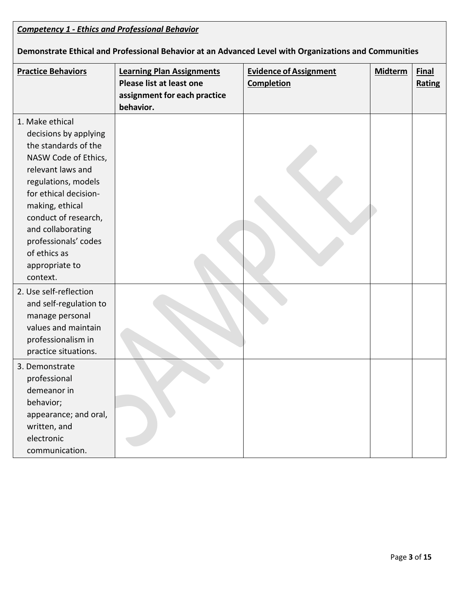| <b>Competency 1 - Ethics and Professional Behavior</b>                                                                                                                                                                                                                                              |                                                                                                           |                                                    |         |                        |
|-----------------------------------------------------------------------------------------------------------------------------------------------------------------------------------------------------------------------------------------------------------------------------------------------------|-----------------------------------------------------------------------------------------------------------|----------------------------------------------------|---------|------------------------|
| Demonstrate Ethical and Professional Behavior at an Advanced Level with Organizations and Communities                                                                                                                                                                                               |                                                                                                           |                                                    |         |                        |
| <b>Practice Behaviors</b>                                                                                                                                                                                                                                                                           | <b>Learning Plan Assignments</b><br>Please list at least one<br>assignment for each practice<br>behavior. | <b>Evidence of Assignment</b><br><b>Completion</b> | Midterm | <b>Final</b><br>Rating |
| 1. Make ethical<br>decisions by applying<br>the standards of the<br>NASW Code of Ethics,<br>relevant laws and<br>regulations, models<br>for ethical decision-<br>making, ethical<br>conduct of research,<br>and collaborating<br>professionals' codes<br>of ethics as<br>appropriate to<br>context. |                                                                                                           |                                                    |         |                        |
| 2. Use self-reflection<br>and self-regulation to<br>manage personal<br>values and maintain<br>professionalism in<br>practice situations.                                                                                                                                                            |                                                                                                           |                                                    |         |                        |
| 3. Demonstrate<br>professional<br>demeanor in<br>behavior;<br>appearance; and oral,<br>written, and<br>electronic<br>communication.                                                                                                                                                                 |                                                                                                           |                                                    |         |                        |

Ī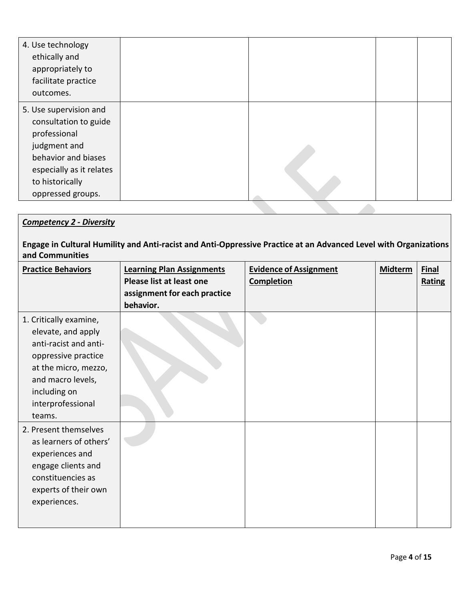| 4. Use technology<br>ethically and<br>appropriately to<br>facilitate practice<br>outcomes.                                                                                 |  |  |
|----------------------------------------------------------------------------------------------------------------------------------------------------------------------------|--|--|
| 5. Use supervision and<br>consultation to guide<br>professional<br>judgment and<br>behavior and biases<br>especially as it relates<br>to historically<br>oppressed groups. |  |  |

# *Competency 2 - Diversity*

**Engage in Cultural Humility and Anti-racist and Anti-Oppressive Practice at an Advanced Level with Organizations and Communities**

| <b>Practice Behaviors</b>                                                                                                                                                                | <b>Learning Plan Assignments</b><br>Please list at least one<br>assignment for each practice<br>behavior. | <b>Evidence of Assignment</b><br><b>Completion</b> | <b>Midterm</b> | <b>Final</b><br>Rating |
|------------------------------------------------------------------------------------------------------------------------------------------------------------------------------------------|-----------------------------------------------------------------------------------------------------------|----------------------------------------------------|----------------|------------------------|
| 1. Critically examine,<br>elevate, and apply<br>anti-racist and anti-<br>oppressive practice<br>at the micro, mezzo,<br>and macro levels,<br>including on<br>interprofessional<br>teams. |                                                                                                           |                                                    |                |                        |
| 2. Present themselves<br>as learners of others'<br>experiences and<br>engage clients and<br>constituencies as<br>experts of their own<br>experiences.                                    |                                                                                                           |                                                    |                |                        |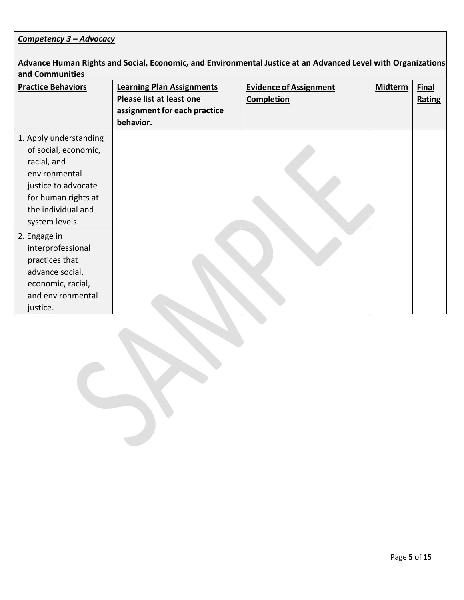# *Competency 3 – Advocacy*

**Advance Human Rights and Social, Economic, and Environmental Justice at an Advanced Level with Organizations and Communities**

| <b>Practice Behaviors</b> | <b>Learning Plan Assignments</b><br>Please list at least one<br>assignment for each practice<br>behavior. | <b>Evidence of Assignment</b><br><b>Completion</b> | <b>Midterm</b> | <b>Final</b><br>Rating |
|---------------------------|-----------------------------------------------------------------------------------------------------------|----------------------------------------------------|----------------|------------------------|
| 1. Apply understanding    |                                                                                                           |                                                    |                |                        |
| of social, economic,      |                                                                                                           |                                                    |                |                        |
| racial, and               |                                                                                                           |                                                    |                |                        |
| environmental             |                                                                                                           |                                                    |                |                        |
| justice to advocate       |                                                                                                           |                                                    |                |                        |
| for human rights at       |                                                                                                           |                                                    |                |                        |
| the individual and        |                                                                                                           |                                                    |                |                        |
| system levels.            |                                                                                                           |                                                    |                |                        |
| 2. Engage in              |                                                                                                           |                                                    |                |                        |
| interprofessional         |                                                                                                           |                                                    |                |                        |
| practices that            |                                                                                                           |                                                    |                |                        |
| advance social,           |                                                                                                           |                                                    |                |                        |
| economic, racial,         |                                                                                                           |                                                    |                |                        |
| and environmental         |                                                                                                           |                                                    |                |                        |
| justice.                  |                                                                                                           |                                                    |                |                        |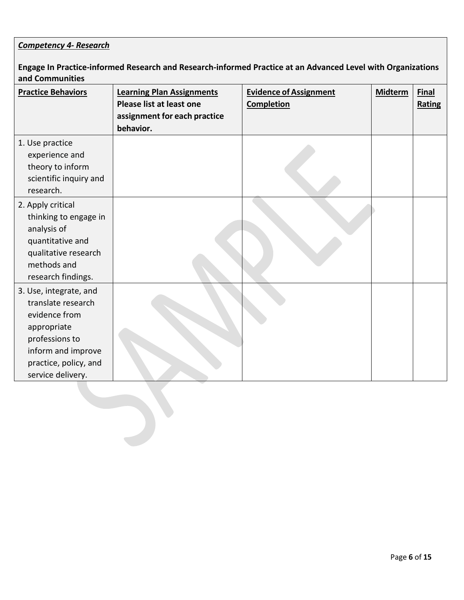# *Competency 4- Research*

**Engage In Practice-informed Research and Research-informed Practice at an Advanced Level with Organizations and Communities**

| <b>Practice Behaviors</b>                                                                                                                                          | <b>Learning Plan Assignments</b><br>Please list at least one<br>assignment for each practice<br>behavior. | <b>Evidence of Assignment</b><br><b>Completion</b> | <b>Midterm</b> | <b>Final</b><br>Rating |
|--------------------------------------------------------------------------------------------------------------------------------------------------------------------|-----------------------------------------------------------------------------------------------------------|----------------------------------------------------|----------------|------------------------|
| 1. Use practice<br>experience and<br>theory to inform<br>scientific inquiry and<br>research.                                                                       |                                                                                                           |                                                    |                |                        |
| 2. Apply critical<br>thinking to engage in<br>analysis of<br>quantitative and<br>qualitative research<br>methods and<br>research findings.                         |                                                                                                           |                                                    |                |                        |
| 3. Use, integrate, and<br>translate research<br>evidence from<br>appropriate<br>professions to<br>inform and improve<br>practice, policy, and<br>service delivery. |                                                                                                           |                                                    |                |                        |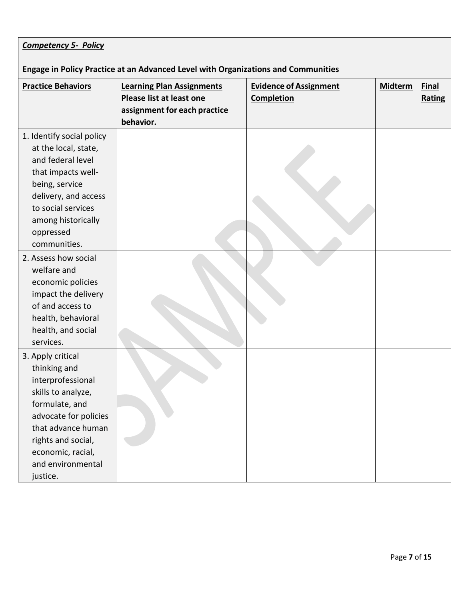| <b>Competency 5- Policy</b>                                                                                                                                                                                               |                                                                                                           |                                                    |                |                               |
|---------------------------------------------------------------------------------------------------------------------------------------------------------------------------------------------------------------------------|-----------------------------------------------------------------------------------------------------------|----------------------------------------------------|----------------|-------------------------------|
| Engage in Policy Practice at an Advanced Level with Organizations and Communities                                                                                                                                         |                                                                                                           |                                                    |                |                               |
| <b>Practice Behaviors</b>                                                                                                                                                                                                 | <b>Learning Plan Assignments</b><br>Please list at least one<br>assignment for each practice<br>behavior. | <b>Evidence of Assignment</b><br><b>Completion</b> | <b>Midterm</b> | <b>Final</b><br><b>Rating</b> |
| 1. Identify social policy<br>at the local, state,<br>and federal level<br>that impacts well-<br>being, service<br>delivery, and access<br>to social services<br>among historically<br>oppressed<br>communities.           |                                                                                                           |                                                    |                |                               |
| 2. Assess how social<br>welfare and<br>economic policies<br>impact the delivery<br>of and access to<br>health, behavioral<br>health, and social<br>services.                                                              |                                                                                                           |                                                    |                |                               |
| 3. Apply critical<br>thinking and<br>interprofessional<br>skills to analyze,<br>formulate, and<br>advocate for policies<br>that advance human<br>rights and social,<br>economic, racial,<br>and environmental<br>justice. |                                                                                                           |                                                    |                |                               |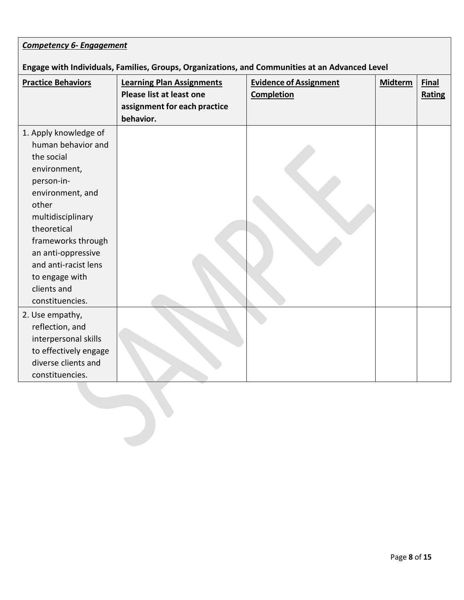| <b>Competency 6- Engagement</b>                                                                |                                                                                                           |                                                    |         |                        |
|------------------------------------------------------------------------------------------------|-----------------------------------------------------------------------------------------------------------|----------------------------------------------------|---------|------------------------|
| Engage with Individuals, Families, Groups, Organizations, and Communities at an Advanced Level |                                                                                                           |                                                    |         |                        |
| <b>Practice Behaviors</b>                                                                      | <b>Learning Plan Assignments</b><br>Please list at least one<br>assignment for each practice<br>behavior. | <b>Evidence of Assignment</b><br><b>Completion</b> | Midterm | <b>Final</b><br>Rating |
| 1. Apply knowledge of                                                                          |                                                                                                           |                                                    |         |                        |
| human behavior and                                                                             |                                                                                                           |                                                    |         |                        |
| the social                                                                                     |                                                                                                           |                                                    |         |                        |
| environment,                                                                                   |                                                                                                           |                                                    |         |                        |
| person-in-                                                                                     |                                                                                                           |                                                    |         |                        |
| environment, and                                                                               |                                                                                                           |                                                    |         |                        |
| other                                                                                          |                                                                                                           |                                                    |         |                        |
| multidisciplinary                                                                              |                                                                                                           |                                                    |         |                        |
| theoretical                                                                                    |                                                                                                           |                                                    |         |                        |
| frameworks through                                                                             |                                                                                                           |                                                    |         |                        |
| an anti-oppressive                                                                             |                                                                                                           |                                                    |         |                        |
| and anti-racist lens                                                                           |                                                                                                           |                                                    |         |                        |
| to engage with                                                                                 |                                                                                                           |                                                    |         |                        |
| clients and                                                                                    |                                                                                                           |                                                    |         |                        |
| constituencies.                                                                                |                                                                                                           |                                                    |         |                        |
| 2. Use empathy,                                                                                |                                                                                                           |                                                    |         |                        |
| reflection, and                                                                                |                                                                                                           |                                                    |         |                        |
| interpersonal skills                                                                           |                                                                                                           |                                                    |         |                        |
| to effectively engage                                                                          |                                                                                                           |                                                    |         |                        |
| diverse clients and                                                                            |                                                                                                           |                                                    |         |                        |
| constituencies.                                                                                |                                                                                                           |                                                    |         |                        |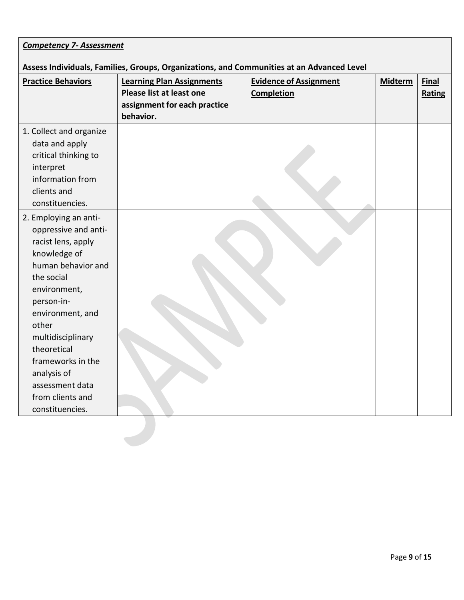| <b>Competency 7- Assessment</b>                                                                           |                                                    |                                                                                           |                        |
|-----------------------------------------------------------------------------------------------------------|----------------------------------------------------|-------------------------------------------------------------------------------------------|------------------------|
|                                                                                                           |                                                    |                                                                                           |                        |
| <b>Learning Plan Assignments</b><br>Please list at least one<br>assignment for each practice<br>behavior. | <b>Evidence of Assignment</b><br><b>Completion</b> | <b>Midterm</b>                                                                            | <b>Final</b><br>Rating |
|                                                                                                           |                                                    |                                                                                           |                        |
|                                                                                                           |                                                    |                                                                                           |                        |
|                                                                                                           |                                                    | Assess Individuals, Families, Groups, Organizations, and Communities at an Advanced Level |                        |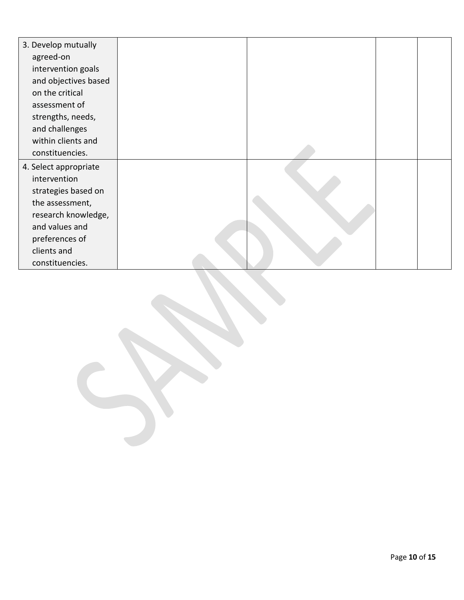| 3. Develop mutually   |  |  |
|-----------------------|--|--|
| agreed-on             |  |  |
| intervention goals    |  |  |
| and objectives based  |  |  |
| on the critical       |  |  |
| assessment of         |  |  |
| strengths, needs,     |  |  |
| and challenges        |  |  |
| within clients and    |  |  |
| constituencies.       |  |  |
| 4. Select appropriate |  |  |
| intervention          |  |  |
| strategies based on   |  |  |
| the assessment,       |  |  |
| research knowledge,   |  |  |
| and values and        |  |  |
| preferences of        |  |  |
| clients and           |  |  |
| constituencies.       |  |  |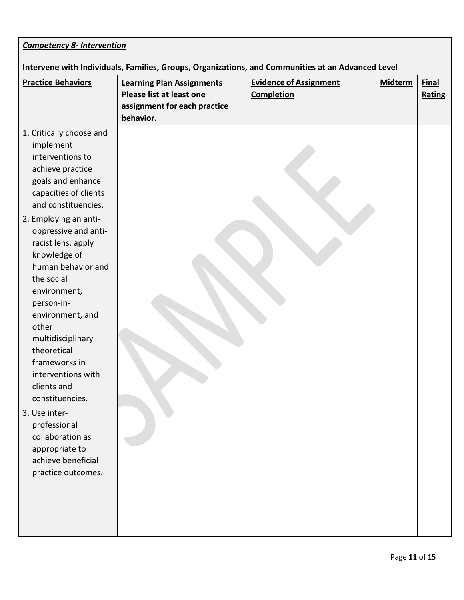| <b>Competency 8- Intervention</b>                                                                                                                                                                                                                                                               |                                                                                                           |                                                    |                |                        |
|-------------------------------------------------------------------------------------------------------------------------------------------------------------------------------------------------------------------------------------------------------------------------------------------------|-----------------------------------------------------------------------------------------------------------|----------------------------------------------------|----------------|------------------------|
| Intervene with Individuals, Families, Groups, Organizations, and Communities at an Advanced Level                                                                                                                                                                                               |                                                                                                           |                                                    |                |                        |
| <b>Practice Behaviors</b>                                                                                                                                                                                                                                                                       | <b>Learning Plan Assignments</b><br>Please list at least one<br>assignment for each practice<br>behavior. | <b>Evidence of Assignment</b><br><b>Completion</b> | <b>Midterm</b> | <b>Final</b><br>Rating |
| 1. Critically choose and<br>implement<br>interventions to<br>achieve practice<br>goals and enhance<br>capacities of clients<br>and constituencies.                                                                                                                                              |                                                                                                           |                                                    |                |                        |
| 2. Employing an anti-<br>oppressive and anti-<br>racist lens, apply<br>knowledge of<br>human behavior and<br>the social<br>environment,<br>person-in-<br>environment, and<br>other<br>multidisciplinary<br>theoretical<br>frameworks in<br>interventions with<br>clients and<br>constituencies. |                                                                                                           |                                                    |                |                        |
| 3. Use inter-<br>professional<br>collaboration as<br>appropriate to<br>achieve beneficial<br>practice outcomes.                                                                                                                                                                                 |                                                                                                           |                                                    |                |                        |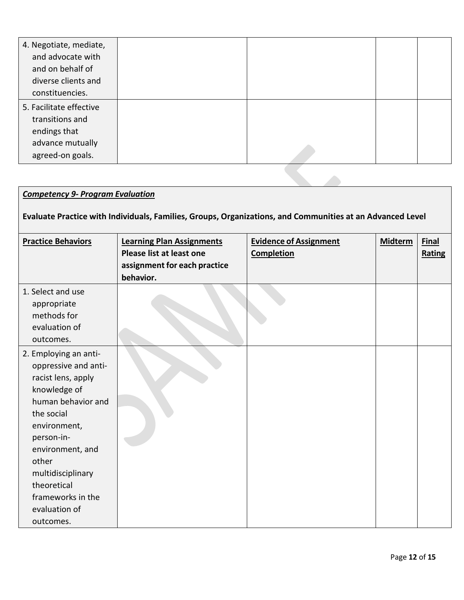| 4. Negotiate, mediate,<br>and advocate with |  |  |
|---------------------------------------------|--|--|
| and on behalf of                            |  |  |
| diverse clients and                         |  |  |
| constituencies.                             |  |  |
| 5. Facilitate effective                     |  |  |
| transitions and                             |  |  |
| endings that                                |  |  |
| advance mutually                            |  |  |
| agreed-on goals.                            |  |  |

# *Competency 9- Program Evaluation*

# **Evaluate Practice with Individuals, Families, Groups, Organizations, and Communities at an Advanced Level**

| <b>Practice Behaviors</b>                                                                                                                                                                                                                                                 | <b>Learning Plan Assignments</b><br><b>Please list at least one</b><br>assignment for each practice | <b>Evidence of Assignment</b><br><b>Completion</b> | <b>Midterm</b> | <b>Final</b><br>Rating |
|---------------------------------------------------------------------------------------------------------------------------------------------------------------------------------------------------------------------------------------------------------------------------|-----------------------------------------------------------------------------------------------------|----------------------------------------------------|----------------|------------------------|
| 1. Select and use<br>appropriate<br>methods for<br>evaluation of<br>outcomes.                                                                                                                                                                                             | behavior.                                                                                           |                                                    |                |                        |
| 2. Employing an anti-<br>oppressive and anti-<br>racist lens, apply<br>knowledge of<br>human behavior and<br>the social<br>environment,<br>person-in-<br>environment, and<br>other<br>multidisciplinary<br>theoretical<br>frameworks in the<br>evaluation of<br>outcomes. |                                                                                                     |                                                    |                |                        |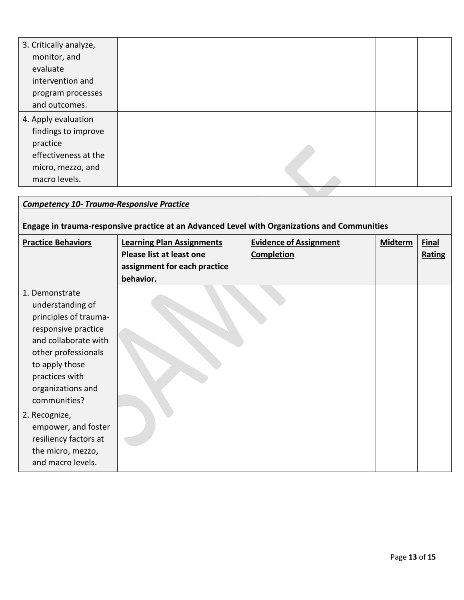| 3. Critically analyze,<br>monitor, and<br>evaluate |  |  |
|----------------------------------------------------|--|--|
| intervention and                                   |  |  |
| program processes                                  |  |  |
| and outcomes.                                      |  |  |
| 4. Apply evaluation                                |  |  |
| findings to improve                                |  |  |
| practice                                           |  |  |
| effectiveness at the                               |  |  |
| micro, mezzo, and                                  |  |  |
| macro levels.                                      |  |  |

### *Competency 10- Trauma-Responsive Practice*

# **Engage in trauma-responsive practice at an Advanced Level with Organizations and Communities**

| <b>Practice Behaviors</b>                                                                                                                                                                                  | <b>Learning Plan Assignments</b><br>Please list at least one<br>assignment for each practice<br>behavior. | <b>Evidence of Assignment</b><br><b>Completion</b> | <b>Midterm</b> | <b>Final</b><br><b>Rating</b> |
|------------------------------------------------------------------------------------------------------------------------------------------------------------------------------------------------------------|-----------------------------------------------------------------------------------------------------------|----------------------------------------------------|----------------|-------------------------------|
| 1. Demonstrate<br>understanding of<br>principles of trauma-<br>responsive practice<br>and collaborate with<br>other professionals<br>to apply those<br>practices with<br>organizations and<br>communities? |                                                                                                           |                                                    |                |                               |
| 2. Recognize,<br>empower, and foster<br>resiliency factors at<br>the micro, mezzo,<br>and macro levels.                                                                                                    |                                                                                                           |                                                    |                |                               |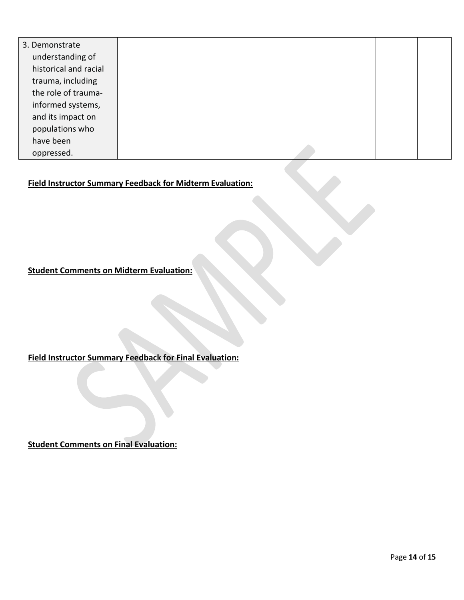| 3. Demonstrate        |  |  |
|-----------------------|--|--|
| understanding of      |  |  |
| historical and racial |  |  |
| trauma, including     |  |  |
| the role of trauma-   |  |  |
| informed systems,     |  |  |
| and its impact on     |  |  |
| populations who       |  |  |
| have been             |  |  |
| oppressed.            |  |  |

### **Field Instructor Summary Feedback for Midterm Evaluation:**

**Student Comments on Midterm Evaluation:** 

**Field Instructor Summary Feedback for Final Evaluation:**

**Student Comments on Final Evaluation:**